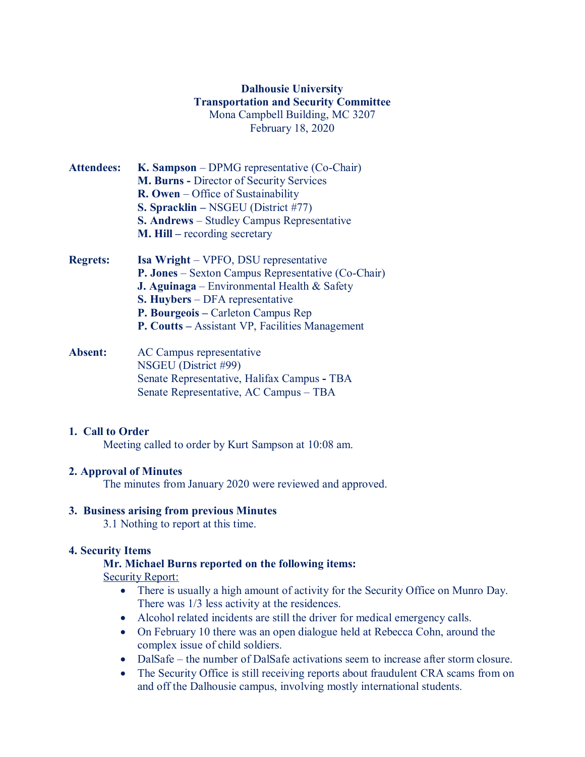# **Dalhousie University Transportation and Security Committee** Mona Campbell Building, MC 3207 February 18, 2020

| <b>Attendees:</b> | <b>K. Sampson</b> – DPMG representative $(Co-Chair)$   |
|-------------------|--------------------------------------------------------|
|                   | <b>M. Burns - Director of Security Services</b>        |
|                   | $\mathbf{R}$ . Owen – Office of Sustainability         |
|                   | <b>S. Spracklin</b> – NSGEU (District #77)             |
|                   | <b>S. Andrews</b> – Studley Campus Representative      |
|                   | $M.$ Hill – recording secretary                        |
| Ragrate.          | $\Gamma$ <sub>c</sub> a Wright VDFO DSU representative |

- **Regrets: Isa Wright** VPFO, DSU representative **P. Jones** – Sexton Campus Representative (Co-Chair) **J. Aguinaga** – Environmental Health & Safety **S. Huybers** – DFA representative **P. Bourgeois –** Carleton Campus Rep **P. Coutts –** Assistant VP, Facilities Management
- **Absent:** AC Campus representative NSGEU (District #99) Senate Representative, Halifax Campus **-** TBA Senate Representative, AC Campus – TBA

#### **1. Call to Order**

Meeting called to order by Kurt Sampson at 10:08 am.

#### **2. Approval of Minutes**

The minutes from January 2020 were reviewed and approved.

#### **3. Business arising from previous Minutes**

3.1 Nothing to report at this time.

#### **4. Security Items**

#### **Mr. Michael Burns reported on the following items:**

Security Report:

- There is usually a high amount of activity for the Security Office on Munro Day. There was 1/3 less activity at the residences.
- Alcohol related incidents are still the driver for medical emergency calls.
- On February 10 there was an open dialogue held at Rebecca Cohn, around the complex issue of child soldiers.
- DalSafe the number of DalSafe activations seem to increase after storm closure.
- The Security Office is still receiving reports about fraudulent CRA scams from on and off the Dalhousie campus, involving mostly international students.